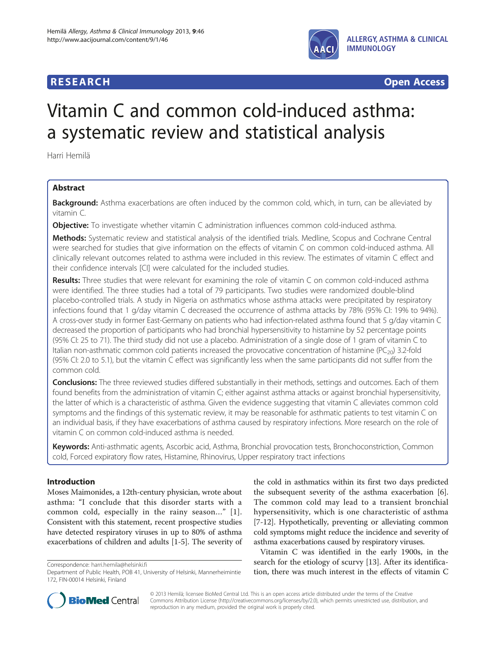## **RESEARCH RESEARCH** *CHECKER CHECKER CHECKER CHECKER CHECKER CHECKER CHECKER CHECKER CHECKER CHECKER CHECKER*



# Vitamin C and common cold-induced asthma: a systematic review and statistical analysis

Harri Hemilä

## Abstract

**Background:** Asthma exacerbations are often induced by the common cold, which, in turn, can be alleviated by vitamin C.

**Objective:** To investigate whether vitamin C administration influences common cold-induced asthma.

Methods: Systematic review and statistical analysis of the identified trials. Medline, Scopus and Cochrane Central were searched for studies that give information on the effects of vitamin C on common cold-induced asthma. All clinically relevant outcomes related to asthma were included in this review. The estimates of vitamin C effect and their confidence intervals [CI] were calculated for the included studies.

Results: Three studies that were relevant for examining the role of vitamin C on common cold-induced asthma were identified. The three studies had a total of 79 participants. Two studies were randomized double-blind placebo-controlled trials. A study in Nigeria on asthmatics whose asthma attacks were precipitated by respiratory infections found that 1 g/day vitamin C decreased the occurrence of asthma attacks by 78% (95% CI: 19% to 94%). A cross-over study in former East-Germany on patients who had infection-related asthma found that 5 g/day vitamin C decreased the proportion of participants who had bronchial hypersensitivity to histamine by 52 percentage points (95% CI: 25 to 71). The third study did not use a placebo. Administration of a single dose of 1 gram of vitamin C to Italian non-asthmatic common cold patients increased the provocative concentration of histamine (PC<sub>20</sub>) 3.2-fold (95% CI: 2.0 to 5.1), but the vitamin C effect was significantly less when the same participants did not suffer from the common cold.

Conclusions: The three reviewed studies differed substantially in their methods, settings and outcomes. Each of them found benefits from the administration of vitamin C; either against asthma attacks or against bronchial hypersensitivity, the latter of which is a characteristic of asthma. Given the evidence suggesting that vitamin C alleviates common cold symptoms and the findings of this systematic review, it may be reasonable for asthmatic patients to test vitamin C on an individual basis, if they have exacerbations of asthma caused by respiratory infections. More research on the role of vitamin C on common cold-induced asthma is needed.

Keywords: Anti-asthmatic agents, Ascorbic acid, Asthma, Bronchial provocation tests, Bronchoconstriction, Common cold, Forced expiratory flow rates, Histamine, Rhinovirus, Upper respiratory tract infections

## Introduction

Moses Maimonides, a 12th-century physician, wrote about asthma: "I conclude that this disorder starts with a common cold, especially in the rainy season…" [[1](#page-7-0)]. Consistent with this statement, recent prospective studies have detected respiratory viruses in up to 80% of asthma exacerbations of children and adults [\[1](#page-7-0)[-5](#page-8-0)]. The severity of

Correspondence: [harri.hemila@helsinki.fi](mailto:harri.hemila@helsinki.fi)

the cold in asthmatics within its first two days predicted the subsequent severity of the asthma exacerbation [[6](#page-8-0)]. The common cold may lead to a transient bronchial hypersensitivity, which is one characteristic of asthma [[7-12\]](#page-8-0). Hypothetically, preventing or alleviating common cold symptoms might reduce the incidence and severity of asthma exacerbations caused by respiratory viruses.

Vitamin C was identified in the early 1900s, in the search for the etiology of scurvy [[13\]](#page-8-0). After its identification, there was much interest in the effects of vitamin C



© 2013 Hemilä; licensee BioMed Central Ltd. This is an open access article distributed under the terms of the Creative Commons Attribution License [\(http://creativecommons.org/licenses/by/2.0\)](http://creativecommons.org/licenses/by/2.0), which permits unrestricted use, distribution, and reproduction in any medium, provided the original work is properly cited.

Department of Public Health, POB 41, University of Helsinki, Mannerheimintie 172, FIN-00014 Helsinki, Finland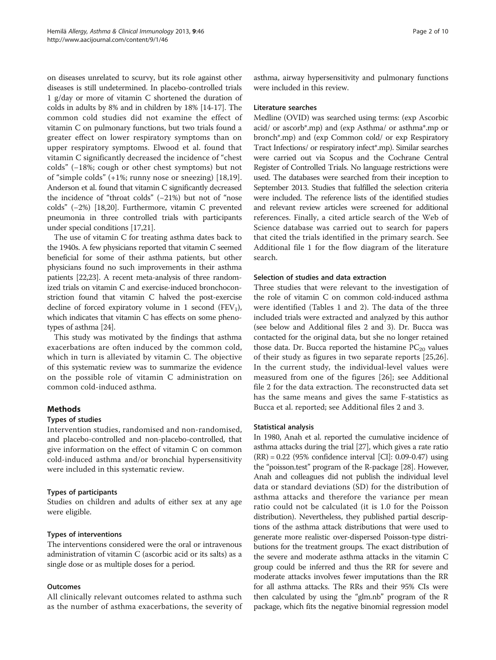on diseases unrelated to scurvy, but its role against other diseases is still undetermined. In placebo-controlled trials 1 g/day or more of vitamin C shortened the duration of colds in adults by 8% and in children by 18% [[14](#page-8-0)-[17](#page-8-0)]. The common cold studies did not examine the effect of vitamin C on pulmonary functions, but two trials found a greater effect on lower respiratory symptoms than on upper respiratory symptoms. Elwood et al. found that vitamin C significantly decreased the incidence of "chest colds" (−18%; cough or other chest symptoms) but not of "simple colds" (+1%; runny nose or sneezing) [[18,19](#page-8-0)]. Anderson et al. found that vitamin C significantly decreased the incidence of "throat colds" (−21%) but not of "nose colds" (−2%) [\[18,20\]](#page-8-0). Furthermore, vitamin C prevented pneumonia in three controlled trials with participants under special conditions [[17,21](#page-8-0)].

The use of vitamin C for treating asthma dates back to the 1940s. A few physicians reported that vitamin C seemed beneficial for some of their asthma patients, but other physicians found no such improvements in their asthma patients [[22,23\]](#page-8-0). A recent meta-analysis of three randomized trials on vitamin C and exercise-induced bronchoconstriction found that vitamin C halved the post-exercise decline of forced expiratory volume in 1 second  $(FEV_1)$ , which indicates that vitamin C has effects on some phenotypes of asthma [\[24\]](#page-8-0).

This study was motivated by the findings that asthma exacerbations are often induced by the common cold, which in turn is alleviated by vitamin C. The objective of this systematic review was to summarize the evidence on the possible role of vitamin C administration on common cold-induced asthma.

## **Methods**

## Types of studies

Intervention studies, randomised and non-randomised, and placebo-controlled and non-placebo-controlled, that give information on the effect of vitamin C on common cold-induced asthma and/or bronchial hypersensitivity were included in this systematic review.

## Types of participants

Studies on children and adults of either sex at any age were eligible.

## Types of interventions

The interventions considered were the oral or intravenous administration of vitamin C (ascorbic acid or its salts) as a single dose or as multiple doses for a period.

## **Outcomes**

All clinically relevant outcomes related to asthma such as the number of asthma exacerbations, the severity of

asthma, airway hypersensitivity and pulmonary functions were included in this review.

## Literature searches

Medline (OVID) was searched using terms: (exp Ascorbic acid/ or ascorb\*.mp) and (exp Asthma/ or asthma\*.mp or bronch\*.mp) and (exp Common cold/ or exp Respiratory Tract Infections/ or respiratory infect\*.mp). Similar searches were carried out via Scopus and the Cochrane Central Register of Controlled Trials. No language restrictions were used. The databases were searched from their inception to September 2013. Studies that fulfilled the selection criteria were included. The reference lists of the identified studies and relevant review articles were screened for additional references. Finally, a cited article search of the Web of Science database was carried out to search for papers that cited the trials identified in the primary search. See Additional file [1](#page-7-0) for the flow diagram of the literature search.

## Selection of studies and data extraction

Three studies that were relevant to the investigation of the role of vitamin C on common cold-induced asthma were identified (Tables [1](#page-2-0) and [2\)](#page-3-0). The data of the three included trials were extracted and analyzed by this author (see below and Additional files [2](#page-7-0) and [3\)](#page-7-0). Dr. Bucca was contacted for the original data, but she no longer retained those data. Dr. Bucca reported the histamine  $PC_{20}$  values of their study as figures in two separate reports [[25,26](#page-8-0)]. In the current study, the individual-level values were measured from one of the figures [[26](#page-8-0)]; see Additional file [2](#page-7-0) for the data extraction. The reconstructed data set has the same means and gives the same F-statistics as Bucca et al. reported; see Additional files [2](#page-7-0) and [3](#page-7-0).

## Statistical analysis

In 1980, Anah et al. reported the cumulative incidence of asthma attacks during the trial [[27](#page-8-0)], which gives a rate ratio (RR) = 0.22 (95% confidence interval [CI]: 0.09-0.47) using the "poisson.test" program of the R-package [\[28\]](#page-8-0). However, Anah and colleagues did not publish the individual level data or standard deviations (SD) for the distribution of asthma attacks and therefore the variance per mean ratio could not be calculated (it is 1.0 for the Poisson distribution). Nevertheless, they published partial descriptions of the asthma attack distributions that were used to generate more realistic over-dispersed Poisson-type distributions for the treatment groups. The exact distribution of the severe and moderate asthma attacks in the vitamin C group could be inferred and thus the RR for severe and moderate attacks involves fewer imputations than the RR for all asthma attacks. The RRs and their 95% CIs were then calculated by using the "glm.nb" program of the R package, which fits the negative binomial regression model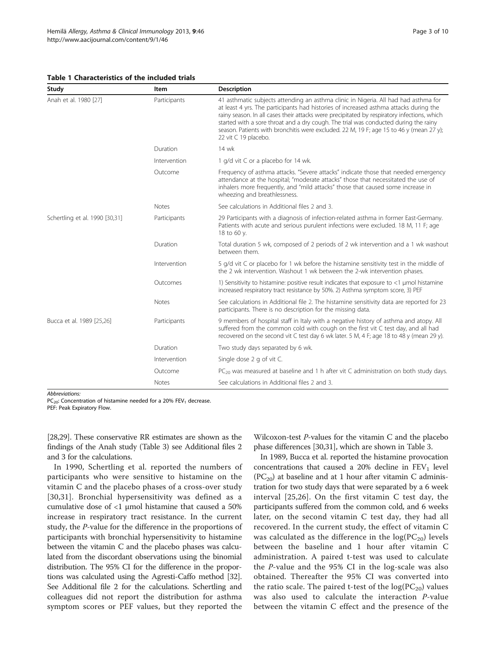#### <span id="page-2-0"></span>Table 1 Characteristics of the included trials

| Study                          | ltem         | <b>Description</b>                                                                                                                                                                                                                                                                                                                                                                                                                                                                     |  |  |
|--------------------------------|--------------|----------------------------------------------------------------------------------------------------------------------------------------------------------------------------------------------------------------------------------------------------------------------------------------------------------------------------------------------------------------------------------------------------------------------------------------------------------------------------------------|--|--|
| Anah et al. 1980 [27]          | Participants | 41 asthmatic subjects attending an asthma clinic in Nigeria. All had had asthma for<br>at least 4 yrs. The participants had histories of increased asthma attacks during the<br>rainy season. In all cases their attacks were precipitated by respiratory infections, which<br>started with a sore throat and a dry cough. The trial was conducted during the rainy<br>season. Patients with bronchitis were excluded. 22 M, 19 F; age 15 to 46 y (mean 27 y);<br>22 vit C 19 placebo. |  |  |
|                                | Duration     | 14 wk                                                                                                                                                                                                                                                                                                                                                                                                                                                                                  |  |  |
|                                | Intervention | 1 g/d vit C or a placebo for 14 wk.                                                                                                                                                                                                                                                                                                                                                                                                                                                    |  |  |
|                                | Outcome      | Frequency of asthma attacks. "Severe attacks" indicate those that needed emergency<br>attendance at the hospital; "moderate attacks" those that necessitated the use of<br>inhalers more frequently, and "mild attacks" those that caused some increase in<br>wheezing and breathlessness.                                                                                                                                                                                             |  |  |
|                                | Notes        | See calculations in Additional files 2 and 3.                                                                                                                                                                                                                                                                                                                                                                                                                                          |  |  |
| Schertling et al. 1990 [30,31] | Participants | 29 Participants with a diagnosis of infection-related asthma in former East-Germany.<br>Patients with acute and serious purulent infections were excluded. 18 M, 11 F; age<br>18 to 60 y.                                                                                                                                                                                                                                                                                              |  |  |
|                                | Duration     | Total duration 5 wk, composed of 2 periods of 2 wk intervention and a 1 wk washout<br>between them.                                                                                                                                                                                                                                                                                                                                                                                    |  |  |
|                                | Intervention | 5 g/d vit C or placebo for 1 wk before the histamine sensitivity test in the middle of<br>the 2 wk intervention. Washout 1 wk between the 2-wk intervention phases.                                                                                                                                                                                                                                                                                                                    |  |  |
|                                | Outcomes     | 1) Sensitivity to histamine: positive result indicates that exposure to $<$ 1 µmol histamine<br>increased respiratory tract resistance by 50%. 2) Asthma symptom score, 3) PEF                                                                                                                                                                                                                                                                                                         |  |  |
|                                | Notes        | See calculations in Additional file 2. The histamine sensitivity data are reported for 23<br>participants. There is no description for the missing data.                                                                                                                                                                                                                                                                                                                               |  |  |
| Bucca et al. 1989 [25,26]      | Participants | 9 members of hospital staff in Italy with a negative history of asthma and atopy. All<br>suffered from the common cold with cough on the first vit C test day, and all had<br>recovered on the second vit C test day 6 wk later. 5 M, 4 F; age 18 to 48 y (mean 29 y).                                                                                                                                                                                                                 |  |  |
|                                | Duration     | Two study days separated by 6 wk.                                                                                                                                                                                                                                                                                                                                                                                                                                                      |  |  |
|                                | Intervention | Single dose 2 g of vit C.                                                                                                                                                                                                                                                                                                                                                                                                                                                              |  |  |
|                                | Outcome      | $PC_{20}$ was measured at baseline and 1 h after vit C administration on both study days.                                                                                                                                                                                                                                                                                                                                                                                              |  |  |
|                                | <b>Notes</b> | See calculations in Additional files 2 and 3.                                                                                                                                                                                                                                                                                                                                                                                                                                          |  |  |

 $PC_{20}$ : Concentration of histamine needed for a 20% FEV<sub>1</sub> decrease.

PEF: Peak Expiratory Flow.

[[28,29\]](#page-8-0). These conservative RR estimates are shown as the findings of the Anah study (Table [3](#page-4-0)) see Additional files [2](#page-7-0) and [3](#page-7-0) for the calculations.

In 1990, Schertling et al. reported the numbers of participants who were sensitive to histamine on the vitamin C and the placebo phases of a cross-over study [[30](#page-8-0),[31\]](#page-8-0). Bronchial hypersensitivity was defined as a cumulative dose of <1 μmol histamine that caused a 50% increase in respiratory tract resistance. In the current study, the P-value for the difference in the proportions of participants with bronchial hypersensitivity to histamine between the vitamin C and the placebo phases was calculated from the discordant observations using the binomial distribution. The 95% CI for the difference in the proportions was calculated using the Agresti-Caffo method [[32](#page-8-0)]. See Additional file [2](#page-7-0) for the calculations. Schertling and colleagues did not report the distribution for asthma symptom scores or PEF values, but they reported the

Wilcoxon-test P-values for the vitamin C and the placebo phase differences [[30](#page-8-0),[31](#page-8-0)], which are shown in Table [3.](#page-4-0)

In 1989, Bucca et al. reported the histamine provocation concentrations that caused a 20% decline in  $FEV<sub>1</sub>$  level  $(PC_{20})$  at baseline and at 1 hour after vitamin C administration for two study days that were separated by a 6 week interval [[25](#page-8-0),[26\]](#page-8-0). On the first vitamin C test day, the participants suffered from the common cold, and 6 weeks later, on the second vitamin C test day, they had all recovered. In the current study, the effect of vitamin C was calculated as the difference in the  $log(PC_{20})$  levels between the baseline and 1 hour after vitamin C administration. A paired t-test was used to calculate the P-value and the 95% CI in the log-scale was also obtained. Thereafter the 95% CI was converted into the ratio scale. The paired t-test of the  $log(PC_{20})$  values was also used to calculate the interaction P-value between the vitamin C effect and the presence of the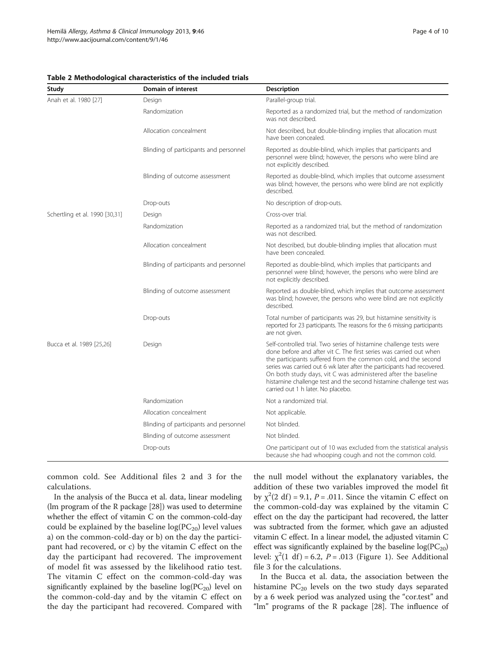| Study                          | Domain of interest                     | <b>Description</b>                                                                                                                                                                                                                                                                                                                                                                                                                                                    |  |  |
|--------------------------------|----------------------------------------|-----------------------------------------------------------------------------------------------------------------------------------------------------------------------------------------------------------------------------------------------------------------------------------------------------------------------------------------------------------------------------------------------------------------------------------------------------------------------|--|--|
| Anah et al. 1980 [27]          | Design                                 | Parallel-group trial.                                                                                                                                                                                                                                                                                                                                                                                                                                                 |  |  |
|                                | Randomization                          | Reported as a randomized trial, but the method of randomization<br>was not described.                                                                                                                                                                                                                                                                                                                                                                                 |  |  |
|                                | Allocation concealment                 | Not described, but double-blinding implies that allocation must<br>have been concealed.                                                                                                                                                                                                                                                                                                                                                                               |  |  |
|                                | Blinding of participants and personnel | Reported as double-blind, which implies that participants and<br>personnel were blind; however, the persons who were blind are<br>not explicitly described.                                                                                                                                                                                                                                                                                                           |  |  |
|                                | Blinding of outcome assessment         | Reported as double-blind, which implies that outcome assessment<br>was blind; however, the persons who were blind are not explicitly<br>described.                                                                                                                                                                                                                                                                                                                    |  |  |
|                                | Drop-outs                              | No description of drop-outs.                                                                                                                                                                                                                                                                                                                                                                                                                                          |  |  |
| Schertling et al. 1990 [30,31] | Design                                 | Cross-over trial.                                                                                                                                                                                                                                                                                                                                                                                                                                                     |  |  |
|                                | Randomization                          | Reported as a randomized trial, but the method of randomization<br>was not described.                                                                                                                                                                                                                                                                                                                                                                                 |  |  |
|                                | Allocation concealment                 | Not described, but double-blinding implies that allocation must<br>have been concealed.                                                                                                                                                                                                                                                                                                                                                                               |  |  |
|                                | Blinding of participants and personnel | Reported as double-blind, which implies that participants and<br>personnel were blind; however, the persons who were blind are<br>not explicitly described.                                                                                                                                                                                                                                                                                                           |  |  |
|                                | Blinding of outcome assessment         | Reported as double-blind, which implies that outcome assessment<br>was blind; however, the persons who were blind are not explicitly<br>described.                                                                                                                                                                                                                                                                                                                    |  |  |
|                                | Drop-outs                              | Total number of participants was 29, but histamine sensitivity is<br>reported for 23 participants. The reasons for the 6 missing participants<br>are not given.                                                                                                                                                                                                                                                                                                       |  |  |
| Bucca et al. 1989 [25,26]      | Design                                 | Self-controlled trial. Two series of histamine challenge tests were<br>done before and after vit C. The first series was carried out when<br>the participants suffered from the common cold, and the second<br>series was carried out 6 wk later after the participants had recovered.<br>On both study days, vit C was administered after the baseline<br>histamine challenge test and the second histamine challenge test was<br>carried out 1 h later. No placebo. |  |  |
|                                | Randomization                          | Not a randomized trial.                                                                                                                                                                                                                                                                                                                                                                                                                                               |  |  |
|                                | Allocation concealment                 | Not applicable.                                                                                                                                                                                                                                                                                                                                                                                                                                                       |  |  |
|                                | Blinding of participants and personnel | Not blinded.                                                                                                                                                                                                                                                                                                                                                                                                                                                          |  |  |
|                                | Blinding of outcome assessment         | Not blinded.                                                                                                                                                                                                                                                                                                                                                                                                                                                          |  |  |
|                                | Drop-outs                              | One participant out of 10 was excluded from the statistical analysis<br>because she had whooping cough and not the common cold.                                                                                                                                                                                                                                                                                                                                       |  |  |

<span id="page-3-0"></span>Table 2 Methodological characteristics of the included trials

common cold. See Additional files [2](#page-7-0) and [3](#page-7-0) for the calculations.

In the analysis of the Bucca et al. data, linear modeling (lm program of the R package [\[28\]](#page-8-0)) was used to determine whether the effect of vitamin C on the common-cold-day could be explained by the baseline  $log(PC_{20})$  level values a) on the common-cold-day or b) on the day the participant had recovered, or c) by the vitamin C effect on the day the participant had recovered. The improvement of model fit was assessed by the likelihood ratio test. The vitamin C effect on the common-cold-day was significantly explained by the baseline  $log(PC_{20})$  level on the common-cold-day and by the vitamin C effect on the day the participant had recovered. Compared with the null model without the explanatory variables, the addition of these two variables improved the model fit by  $\chi^2(2 \text{ df}) = 9.1$ ,  $P = .011$ . Since the vitamin C effect on the common-cold-day was explained by the vitamin C effect on the day the participant had recovered, the latter was subtracted from the former, which gave an adjusted vitamin C effect. In a linear model, the adjusted vitamin C effect was significantly explained by the baseline  $log(PC_{20})$ level:  $\chi^2(1 \text{ df}) = 6.2$ ,  $P = .013$  (Figure [1\)](#page-5-0). See Additional file [3](#page-7-0) for the calculations.

In the Bucca et al. data, the association between the histamine  $PC_{20}$  levels on the two study days separated by a 6 week period was analyzed using the "cor.test" and "lm" programs of the R package [\[28](#page-8-0)]. The influence of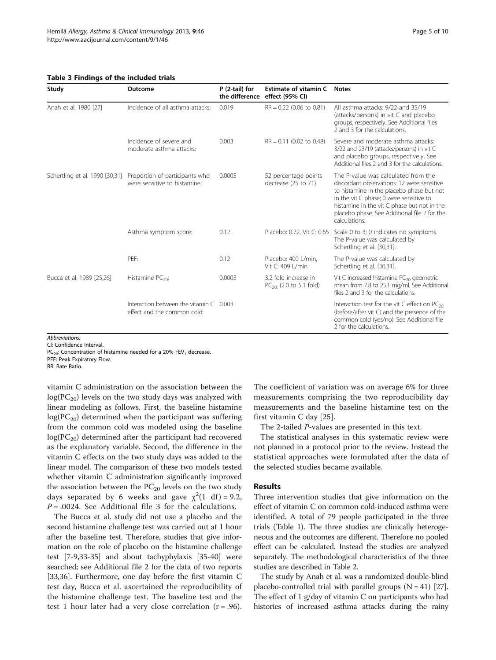#### <span id="page-4-0"></span>Table 3 Findings of the included trials

| Study                     | Outcome                                                                                       | P (2-tail) for<br>the difference | Estimate of vitamin C<br>effect (95% CI)            | <b>Notes</b>                                                                                                                                                                                                                                                                              |
|---------------------------|-----------------------------------------------------------------------------------------------|----------------------------------|-----------------------------------------------------|-------------------------------------------------------------------------------------------------------------------------------------------------------------------------------------------------------------------------------------------------------------------------------------------|
| Anah et al. 1980 [27]     | Incidence of all asthma attacks:                                                              | 0.019                            | $RR = 0.22$ (0.06 to 0.81)                          | All asthma attacks: 9/22 and 35/19<br>(attacks/persons) in vit C and placebo<br>groups, respectively. See Additional files<br>2 and 3 for the calculations.                                                                                                                               |
|                           | Incidence of severe and<br>moderate asthma attacks:                                           | 0.003                            | $RR = 0.11$ (0.02 to 0.48)                          | Severe and moderate asthma attacks:<br>3/22 and 23/19 (attacks/persons) in vit C<br>and placebo groups, respectively. See<br>Additional files 2 and 3 for the calculations.                                                                                                               |
|                           | Schertling et al. 1990 [30,31] Proportion of participants who<br>were sensitive to histamine: | 0.0005                           | 52 percentage points<br>decrease (25 to 71)         | The P-value was calculated from the<br>discordant observations: 12 were sensitive<br>to histamine in the placebo phase but not<br>in the vit C phase; 0 were sensitive to<br>histamine in the vit C phase but not in the<br>placebo phase. See Additional file 2 for the<br>calculations. |
|                           | Asthma symptom score:                                                                         | 0.12                             |                                                     | Placebo: 0.72, Vit C: 0.65 Scale 0 to 3; 0 indicates no symptoms.<br>The P-value was calculated by<br>Schertling et al. [30,31].                                                                                                                                                          |
|                           | PEF:                                                                                          | 0.12                             | Placebo: 400 L/min,<br>Vit C: 409 L/min             | The P-value was calculated by<br>Schertling et al. [30,31].                                                                                                                                                                                                                               |
| Bucca et al. 1989 [25,26] | Histamine $PC_{20}$ :                                                                         | 0.0003                           | 3.2 fold increase in<br>$PC_{20}$ (2.0 to 5.1 fold) | Vit C increased histamine PC <sub>20</sub> geometric<br>mean from 7.8 to 25.1 mg/ml. See Additional<br>files 2 and 3 for the calculations.                                                                                                                                                |
|                           | Interaction between the vitamin $C = 0.003$<br>effect and the common cold:                    |                                  |                                                     | Interaction test for the vit $C$ effect on $PC_{20}$<br>(before/after vit C) and the presence of the<br>common cold (yes/no). See Additional file<br>2 for the calculations.                                                                                                              |

CI: Confidence Interval.

 $PC_{20}$ : Concentration of histamine needed for a 20% FEV<sub>1</sub> decrease.

PEF: Peak Expiratory Flow.

RR: Rate Ratio.

vitamin C administration on the association between the  $log(PC_{20})$  levels on the two study days was analyzed with linear modeling as follows. First, the baseline histamine  $log(PC_{20})$  determined when the participant was suffering from the common cold was modeled using the baseline  $log(PC_{20})$  determined after the participant had recovered as the explanatory variable. Second, the difference in the vitamin C effects on the two study days was added to the linear model. The comparison of these two models tested whether vitamin C administration significantly improved the association between the  $PC_{20}$  levels on the two study days separated by 6 weeks and gave  $\chi^2(1 \text{ df}) = 9.2$ ,  $P = .0024$ . See Additional file [3](#page-7-0) for the calculations.

The Bucca et al. study did not use a placebo and the second histamine challenge test was carried out at 1 hour after the baseline test. Therefore, studies that give information on the role of placebo on the histamine challenge test [\[7-9,33-35](#page-8-0)] and about tachyphylaxis [[35](#page-8-0)-[40](#page-8-0)] were searched; see Additional file [2](#page-7-0) for the data of two reports [[33,36](#page-8-0)]. Furthermore, one day before the first vitamin C test day, Bucca et al. ascertained the reproducibility of the histamine challenge test. The baseline test and the test 1 hour later had a very close correlation  $(r = .96)$ .

The coefficient of variation was on average 6% for three measurements comprising the two reproducibility day measurements and the baseline histamine test on the first vitamin C day [\[25](#page-8-0)].

The 2-tailed P-values are presented in this text.

The statistical analyses in this systematic review were not planned in a protocol prior to the review. Instead the statistical approaches were formulated after the data of the selected studies became available.

## Results

Three intervention studies that give information on the effect of vitamin C on common cold-induced asthma were identified. A total of 79 people participated in the three trials (Table [1\)](#page-2-0). The three studies are clinically heterogeneous and the outcomes are different. Therefore no pooled effect can be calculated. Instead the studies are analyzed separately. The methodological characteristics of the three studies are described in Table [2](#page-3-0).

The study by Anah et al. was a randomized double-blind placebo-controlled trial with parallel groups  $(N = 41)$  [\[27](#page-8-0)]. The effect of 1 g/day of vitamin C on participants who had histories of increased asthma attacks during the rainy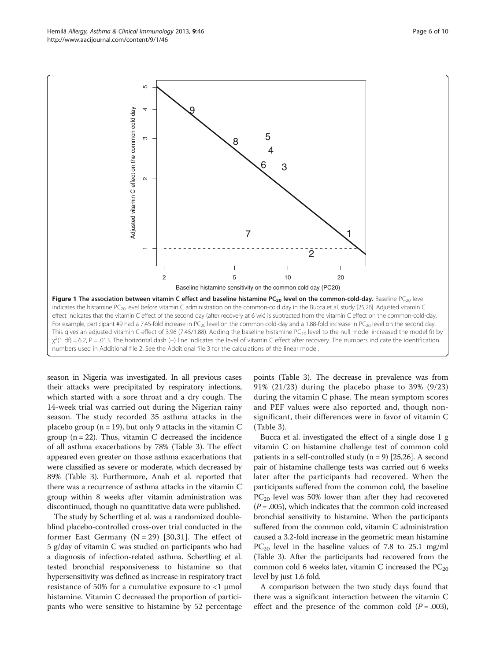season in Nigeria was investigated. In all previous cases their attacks were precipitated by respiratory infections, which started with a sore throat and a dry cough. The 14-week trial was carried out during the Nigerian rainy season. The study recorded 35 asthma attacks in the placebo group ( $n = 19$ ), but only 9 attacks in the vitamin C group  $(n = 22)$ . Thus, vitamin C decreased the incidence of all asthma exacerbations by 78% (Table [3](#page-4-0)). The effect appeared even greater on those asthma exacerbations that were classified as severe or moderate, which decreased by 89% (Table [3](#page-4-0)). Furthermore, Anah et al. reported that there was a recurrence of asthma attacks in the vitamin C group within 8 weeks after vitamin administration was discontinued, though no quantitative data were published.

The study by Schertling et al. was a randomized doubleblind placebo-controlled cross-over trial conducted in the former East Germany  $(N = 29)$  [[30,31](#page-8-0)]. The effect of 5 g/day of vitamin C was studied on participants who had a diagnosis of infection-related asthma. Schertling et al. tested bronchial responsiveness to histamine so that hypersensitivity was defined as increase in respiratory tract resistance of 50% for a cumulative exposure to <1 μmol histamine. Vitamin C decreased the proportion of participants who were sensitive to histamine by 52 percentage

points (Table [3](#page-4-0)). The decrease in prevalence was from 91% (21/23) during the placebo phase to 39% (9/23) during the vitamin C phase. The mean symptom scores and PEF values were also reported and, though nonsignificant, their differences were in favor of vitamin C (Table [3\)](#page-4-0).

Bucca et al. investigated the effect of a single dose 1 g vitamin C on histamine challenge test of common cold patients in a self-controlled study  $(n = 9)$  [\[25,26](#page-8-0)]. A second pair of histamine challenge tests was carried out 6 weeks later after the participants had recovered. When the participants suffered from the common cold, the baseline  $PC_{20}$  level was 50% lower than after they had recovered  $(P=.005)$ , which indicates that the common cold increased bronchial sensitivity to histamine. When the participants suffered from the common cold, vitamin C administration caused a 3.2-fold increase in the geometric mean histamine  $PC_{20}$  level in the baseline values of 7.8 to 25.1 mg/ml (Table [3](#page-4-0)). After the participants had recovered from the common cold 6 weeks later, vitamin C increased the  $PC_{20}$ level by just 1.6 fold.

A comparison between the two study days found that there was a significant interaction between the vitamin C effect and the presence of the common cold  $(P=.003)$ ,

<span id="page-5-0"></span>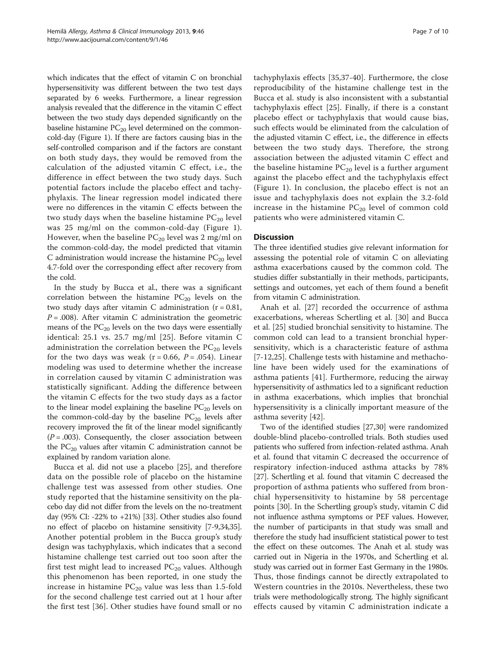which indicates that the effect of vitamin C on bronchial hypersensitivity was different between the two test days separated by 6 weeks. Furthermore, a linear regression analysis revealed that the difference in the vitamin C effect between the two study days depended significantly on the baseline histamine  $PC_{20}$  level determined on the commoncold-day (Figure [1\)](#page-5-0). If there are factors causing bias in the self-controlled comparison and if the factors are constant on both study days, they would be removed from the calculation of the adjusted vitamin C effect, i.e., the difference in effect between the two study days. Such potential factors include the placebo effect and tachyphylaxis. The linear regression model indicated there were no differences in the vitamin C effects between the two study days when the baseline histamine  $PC_{20}$  level was 25 mg/ml on the common-cold-day (Figure [1](#page-5-0)). However, when the baseline  $PC_{20}$  level was 2 mg/ml on the common-cold-day, the model predicted that vitamin C administration would increase the histamine  $PC_{20}$  level 4.7-fold over the corresponding effect after recovery from the cold.

In the study by Bucca et al., there was a significant correlation between the histamine  $PC_{20}$  levels on the two study days after vitamin C administration  $(r = 0.81,$  $P = .008$ ). After vitamin C administration the geometric means of the  $PC_{20}$  levels on the two days were essentially identical: 25.1 vs. 25.7 mg/ml [[25](#page-8-0)]. Before vitamin C administration the correlation between the  $PC_{20}$  levels for the two days was weak ( $r = 0.66$ ,  $P = .054$ ). Linear modeling was used to determine whether the increase in correlation caused by vitamin C administration was statistically significant. Adding the difference between the vitamin C effects for the two study days as a factor to the linear model explaining the baseline  $PC_{20}$  levels on the common-cold-day by the baseline  $PC_{20}$  levels after recovery improved the fit of the linear model significantly  $(P=.003)$ . Consequently, the closer association between the  $PC_{20}$  values after vitamin C administration cannot be explained by random variation alone.

Bucca et al. did not use a placebo [[25](#page-8-0)], and therefore data on the possible role of placebo on the histamine challenge test was assessed from other studies. One study reported that the histamine sensitivity on the placebo day did not differ from the levels on the no-treatment day (95% CI: -22% to +21%) [[33](#page-8-0)]. Other studies also found no effect of placebo on histamine sensitivity [\[7](#page-8-0)-[9,34,35](#page-8-0)]. Another potential problem in the Bucca group's study design was tachyphylaxis, which indicates that a second histamine challenge test carried out too soon after the first test might lead to increased  $PC_{20}$  values. Although this phenomenon has been reported, in one study the increase in histamine  $PC_{20}$  value was less than 1.5-fold for the second challenge test carried out at 1 hour after the first test [\[36](#page-8-0)]. Other studies have found small or no

tachyphylaxis effects [[35,37-40\]](#page-8-0). Furthermore, the close reproducibility of the histamine challenge test in the Bucca et al. study is also inconsistent with a substantial tachyphylaxis effect [[25\]](#page-8-0). Finally, if there is a constant placebo effect or tachyphylaxis that would cause bias, such effects would be eliminated from the calculation of the adjusted vitamin C effect, i.e., the difference in effects between the two study days. Therefore, the strong association between the adjusted vitamin C effect and the baseline histamine  $PC_{20}$  level is a further argument against the placebo effect and the tachyphylaxis effect (Figure [1](#page-5-0)). In conclusion, the placebo effect is not an issue and tachyphylaxis does not explain the 3.2-fold increase in the histamine  $PC_{20}$  level of common cold patients who were administered vitamin C.

## **Discussion**

The three identified studies give relevant information for assessing the potential role of vitamin C on alleviating asthma exacerbations caused by the common cold. The studies differ substantially in their methods, participants, settings and outcomes, yet each of them found a benefit from vitamin C administration.

Anah et al. [[27\]](#page-8-0) recorded the occurrence of asthma exacerbations, whereas Schertling et al. [[30](#page-8-0)] and Bucca et al. [[25](#page-8-0)] studied bronchial sensitivity to histamine. The common cold can lead to a transient bronchial hypersensitivity, which is a characteristic feature of asthma [[7-12,25\]](#page-8-0). Challenge tests with histamine and methacholine have been widely used for the examinations of asthma patients [[41\]](#page-8-0). Furthermore, reducing the airway hypersensitivity of asthmatics led to a significant reduction in asthma exacerbations, which implies that bronchial hypersensitivity is a clinically important measure of the asthma severity [[42\]](#page-8-0).

Two of the identified studies [[27,30\]](#page-8-0) were randomized double-blind placebo-controlled trials. Both studies used patients who suffered from infection-related asthma. Anah et al. found that vitamin C decreased the occurrence of respiratory infection-induced asthma attacks by 78% [[27](#page-8-0)]. Schertling et al. found that vitamin C decreased the proportion of asthma patients who suffered from bronchial hypersensitivity to histamine by 58 percentage points [[30](#page-8-0)]. In the Schertling group's study, vitamin C did not influence asthma symptoms or PEF values. However, the number of participants in that study was small and therefore the study had insufficient statistical power to test the effect on these outcomes. The Anah et al. study was carried out in Nigeria in the 1970s, and Schertling et al. study was carried out in former East Germany in the 1980s. Thus, those findings cannot be directly extrapolated to Western countries in the 2010s. Nevertheless, these two trials were methodologically strong. The highly significant effects caused by vitamin C administration indicate a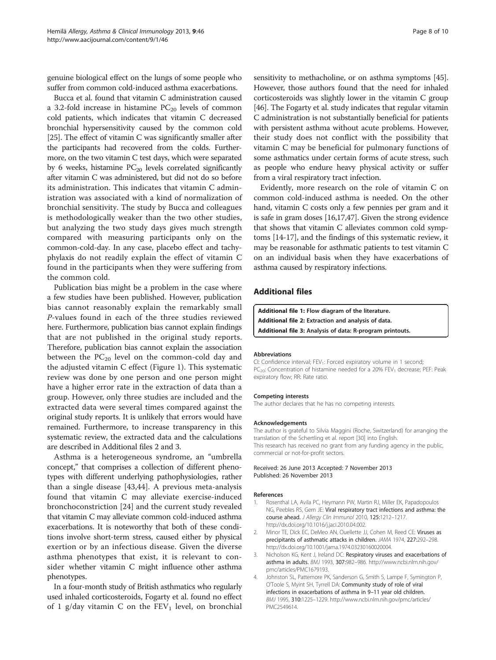<span id="page-7-0"></span>genuine biological effect on the lungs of some people who suffer from common cold-induced asthma exacerbations.

Bucca et al. found that vitamin C administration caused a 3.2-fold increase in histamine  $PC_{20}$  levels of common cold patients, which indicates that vitamin C decreased bronchial hypersensitivity caused by the common cold [[25](#page-8-0)]. The effect of vitamin C was significantly smaller after the participants had recovered from the colds. Furthermore, on the two vitamin C test days, which were separated by 6 weeks, histamine  $PC_{20}$  levels correlated significantly after vitamin C was administered, but did not do so before its administration. This indicates that vitamin C administration was associated with a kind of normalization of bronchial sensitivity. The study by Bucca and colleagues is methodologically weaker than the two other studies, but analyzing the two study days gives much strength compared with measuring participants only on the common-cold-day. In any case, placebo effect and tachyphylaxis do not readily explain the effect of vitamin C found in the participants when they were suffering from the common cold.

Publication bias might be a problem in the case where a few studies have been published. However, publication bias cannot reasonably explain the remarkably small P-values found in each of the three studies reviewed here. Furthermore, publication bias cannot explain findings that are not published in the original study reports. Therefore, publication bias cannot explain the association between the  $PC_{20}$  level on the common-cold day and the adjusted vitamin C effect (Figure [1\)](#page-5-0). This systematic review was done by one person and one person might have a higher error rate in the extraction of data than a group. However, only three studies are included and the extracted data were several times compared against the original study reports. It is unlikely that errors would have remained. Furthermore, to increase transparency in this systematic review, the extracted data and the calculations are described in Additional files 2 and 3.

Asthma is a heterogeneous syndrome, an "umbrella concept," that comprises a collection of different phenotypes with different underlying pathophysiologies, rather than a single disease [\[43](#page-8-0),[44\]](#page-9-0). A previous meta-analysis found that vitamin C may alleviate exercise-induced bronchoconstriction [\[24](#page-8-0)] and the current study revealed that vitamin C may alleviate common cold-induced asthma exacerbations. It is noteworthy that both of these conditions involve short-term stress, caused either by physical exertion or by an infectious disease. Given the diverse asthma phenotypes that exist, it is relevant to consider whether vitamin C might influence other asthma phenotypes.

In a four-month study of British asthmatics who regularly used inhaled corticosteroids, Fogarty et al. found no effect of 1 g/day vitamin C on the  $FEV<sub>1</sub>$  level, on bronchial sensitivity to methacholine, or on asthma symptoms [[45](#page-9-0)]. However, those authors found that the need for inhaled corticosteroids was slightly lower in the vitamin C group [[46](#page-9-0)]. The Fogarty et al. study indicates that regular vitamin C administration is not substantially beneficial for patients with persistent asthma without acute problems. However, their study does not conflict with the possibility that vitamin C may be beneficial for pulmonary functions of some asthmatics under certain forms of acute stress, such as people who endure heavy physical activity or suffer from a viral respiratory tract infection.

Evidently, more research on the role of vitamin C on common cold-induced asthma is needed. On the other hand, vitamin C costs only a few pennies per gram and it is safe in gram doses [\[16,17](#page-8-0)[,47](#page-9-0)]. Given the strong evidence that shows that vitamin C alleviates common cold symptoms [[14](#page-8-0)-[17](#page-8-0)], and the findings of this systematic review, it may be reasonable for asthmatic patients to test vitamin C on an individual basis when they have exacerbations of asthma caused by respiratory infections.

## Additional files

[Additional file 1:](http://www.biomedcentral.com/content/supplementary/1710-1492-9-46-S1.pdf) Flow diagram of the literature. [Additional file 2:](http://www.biomedcentral.com/content/supplementary/1710-1492-9-46-S2.xls) Extraction and analysis of data. [Additional file 3:](http://www.biomedcentral.com/content/supplementary/1710-1492-9-46-S3.pdf) Analysis of data: R-program printouts.

#### Abbreviations

CI: Confidence interval; FEV<sub>1</sub>: Forced expiratory volume in 1 second;  $PC<sub>20</sub>$ : Concentration of histamine needed for a 20% FEV<sub>1</sub> decrease; PEF: Peak expiratory flow; RR: Rate ratio.

#### Competing interests

The author declares that he has no competing interests.

#### Acknowledgements

The author is grateful to Silvia Maggini (Roche, Switzerland) for arranging the translation of the Schertling et al. report [[30\]](#page-8-0) into English. This research has received no grant from any funding agency in the public, commercial or not-for-profit sectors.

Received: 26 June 2013 Accepted: 7 November 2013 Published: 26 November 2013

#### References

- 1. Rosenthal LA, Avila PC, Heymann PW, Martin RJ, Miller EK, Papadopoulos NG, Peebles RS, Gern JE: Viral respiratory tract infections and asthma: the course ahead. J Allergy Clin Immunol 2010, 125:1212–1217. [http://dx.doi.org/10.1016/j.jaci.2010.04.002.](http://dx.doi.org/10.1016/j.jaci.2010.04.002)
- 2. Minor TE, Dick EC, DeMeo AN, Ouellette JJ, Cohen M, Reed CE: Viruses as precipitants of asthmatic attacks in children. JAMA 1974, 227:292–298. [http://dx.doi.org/10.1001/jama.1974.03230160020004.](http://dx.doi.org/10.1001/jama.1974.03230160020004)
- 3. Nicholson KG, Kent J, Ireland DC: Respiratory viruses and exacerbations of asthma in adults. BMJ 1993, 307:982–986. [http://www.ncbi.nlm.nih.gov/](http://www.ncbi.nlm.nih.gov/pmc/articles/PMC1679193) [pmc/articles/PMC1679193.](http://www.ncbi.nlm.nih.gov/pmc/articles/PMC1679193)
- 4. Johnston SL, Pattemore PK, Sanderson G, Smith S, Lampe F, Symington P, O'Toole S, Myint SH, Tyrrell DA: Community study of role of viral infections in exacerbations of asthma in 9–11 year old children. BMJ 1995, 310:1225–1229. [http://www.ncbi.nlm.nih.gov/pmc/articles/](http://www.ncbi.nlm.nih.gov/pmc/articles/PMC2549614) [PMC2549614.](http://www.ncbi.nlm.nih.gov/pmc/articles/PMC2549614)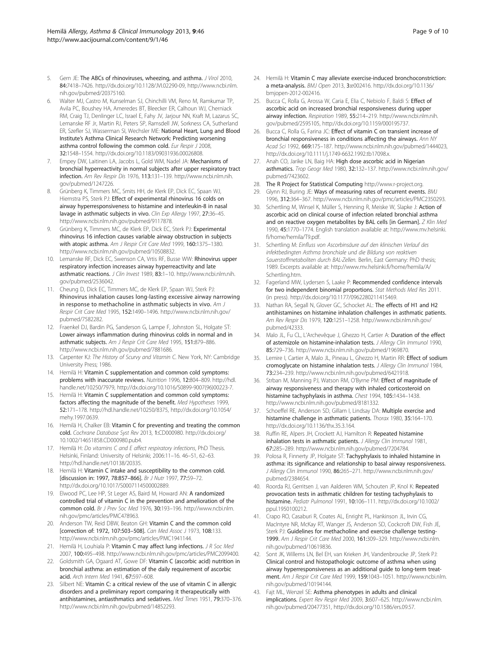- <span id="page-8-0"></span>5. Gern JE: The ABCs of rhinoviruses, wheezing, and asthma. J Virol 2010, 84:7418–7426. [http://dx.doi.org/10.1128/JVI.02290-09,](http://dx.doi.org/10.1128/JVI.02290-09) [http://www.ncbi.nlm.](http://www.ncbi.nlm.nih.gov/pubmed/20375160) [nih.gov/pubmed/20375160](http://www.ncbi.nlm.nih.gov/pubmed/20375160).
- 6. Walter MJ, Castro M, Kunselman SJ, Chinchilli VM, Reno M, Ramkumar TP, Avila PC, Boushey HA, Ameredes BT, Bleecker ER, Calhoun WJ, Cherniack RM, Craig TJ, Denlinger LC, Israel E, Fahy JV, Jarjour NN, Kraft M, Lazarus SC, Lemanske RF Jr, Martin RJ, Peters SP, Ramsdell JW, Sorkness CA, Sutherland ER, Szefler SJ, Wasserman SI, Wechsler ME: National Heart, Lung and Blood Institute's Asthma Clinical Research Network: Predicting worsening asthma control following the common cold. Eur Respir J 2008, 32:1548–1554.<http://dx.doi.org/10.1183/09031936.00026808>.
- 7. Empey DW, Laitinen LA, Jacobs L, Gold WM, Nadel JA: Mechanisms of bronchial hyperreactivity in normal subjects after upper respiratory tract infection. Am Rev Respir Dis 1976, 113:131–139. [http://www.ncbi.nlm.nih.](http://www.ncbi.nlm.nih.gov/pubmed/1247226) [gov/pubmed/1247226.](http://www.ncbi.nlm.nih.gov/pubmed/1247226)
- Grünberg K, Timmers MC, Smits HH, de Klerk EP, Dick EC, Spaan WJ, Hiemstra PS, Sterk PJ: Effect of experimental rhinovirus 16 colds on airway hyperresponsiveness to histamine and interleukin-8 in nasal lavage in asthmatic subjects in vivo. Clin Exp Allergy 1997, 27:36–45. <http://www.ncbi.nlm.nih.gov/pubmed/9117878>.
- 9. Grünberg K, Timmers MC, de Klerk EP, Dick EC, Sterk PJ: Experimental rhinovirus 16 infection causes variable airway obstruction in subjects with atopic asthma. Am J Respir Crit Care Med 1999, 160:1375–1380. [http://www.ncbi.nlm.nih.gov/pubmed/10508832.](http://www.ncbi.nlm.nih.gov/pubmed/10508832)
- 10. Lemanske RF, Dick EC, Swenson CA, Vrtis RF, Busse WW: Rhinovirus upper respiratory infection increases airway hyperreactivity and late asthmatic reactions. J Clin Invest 1989, 83:1-10. [http://www.ncbi.nlm.nih.](http://www.ncbi.nlm.nih.gov/pubmed/2536042) [gov/pubmed/2536042.](http://www.ncbi.nlm.nih.gov/pubmed/2536042)
- 11. Cheung D, Dick EC, Timmers MC, de Klerk EP, Spaan WJ, Sterk PJ: Rhinovirus inhalation causes long-lasting excessive airway narrowing in response to methacholine in asthmatic subjects in vivo. Am J Respir Crit Care Med 1995, 152:1490–1496. [http://www.ncbi.nlm.nih.gov/](http://www.ncbi.nlm.nih.gov/pubmed/7582282) [pubmed/7582282.](http://www.ncbi.nlm.nih.gov/pubmed/7582282)
- 12. Fraenkel DJ, Bardin PG, Sanderson G, Lampe F, Johnston SL, Holgate ST: Lower airways inflammation during rhinovirus colds in normal and in asthmatic subjects. Am J Respir Crit Care Med 1995, 151:879-886. <http://www.ncbi.nlm.nih.gov/pubmed/7881686>.
- 13. Carpenter KJ: The History of Scurvy and Vitamin C. New York, NY: Cambridge University Press; 1986.
- 14. Hemilä H: Vitamin C supplementation and common cold symptoms: problems with inaccurate reviews. Nutrition 1996, 12:804–809. [http://hdl.](http://hdl.handle.net/10250/7979) [handle.net/10250/7979](http://hdl.handle.net/10250/7979), [http://dx.doi.org/10.1016/S0899-9007\(96\)00223-7](http://dx.doi.org/10.1016/S0899-9007(96)00223-7).
- 15. Hemilä H: Vitamin C supplementation and common cold symptoms: factors affecting the magnitude of the benefit. Med Hypotheses 1999, 52:171–178. [http://hdl.handle.net/10250/8375,](http://hdl.handle.net/10250/8375) [http://dx.doi.org/10.1054/](http://dx.doi.org/10.1054/mehy.1997.0639) [mehy.1997.0639](http://dx.doi.org/10.1054/mehy.1997.0639).
- 16. Hemilä H, Chalker EB: Vitamin C for preventing and treating the common cold. Cochrane Database Syst Rev 2013, 1:CD000980. [http://dx.doi.org/](http://dx.doi.org/10.1002/14651858.CD000980.pub4) [10.1002/14651858.CD000980.pub4](http://dx.doi.org/10.1002/14651858.CD000980.pub4).
- 17. Hemilä H: Do vitamins C and E affect respiratory infections, PhD Thesis. Helsinki, Finland: University of Helsinki; 2006:11–16. 46–51, 62–63. <http://hdl.handle.net/10138/20335>.
- 18. Hemilä H: Vitamin C intake and susceptibility to the common cold. [discussion in: 1997, 78:857–866]. Br J Nutr 1997, 77:59–72. <http://dx.doi.org/10.1017/S0007114500002889>.
- 19. Elwood PC, Lee HP, St Leger AS, Baird M, Howard AN: A randomized controlled trial of vitamin C in the prevention and amelioration of the common cold. Br J Prev Soc Med 1976, 30:193–196. [http://www.ncbi.nlm.](http://www.ncbi.nlm.nih.gov/pmc/articles/PMC478963) [nih.gov/pmc/articles/PMC478963.](http://www.ncbi.nlm.nih.gov/pmc/articles/PMC478963)
- 20. Anderson TW, Reid DBW, Beaton GH: Vitamin C and the common cold [correction of: 1972, 107:503–508]. Can Med Assoc J 1973, 108:133. [http://www.ncbi.nlm.nih.gov/pmc/articles/PMC1941144.](http://www.ncbi.nlm.nih.gov/pmc/articles/PMC1941144)
- 21. Hemilä H, Louhiala P: Vitamin C may affect lung infections. J R Soc Med 2007, 100:495–498.<http://www.ncbi.nlm.nih.gov/pmc/articles/PMC2099400>.
- 22. Goldsmith GA, Ogaard AT, Gowe DF: Vitamin C (ascorbic acid) nutrition in bronchial asthma: an estimation of the daily requirement of ascorbic acid. Arch Intern Med 1941, 67:597–608.
- 23. Silbert NE: Vitamin C: a critical review of the use of vitamin C in allergic disorders and a preliminary report comparing it therapeutically with antihistamines, antiasthmatics and sedatives. Med Times 1951, 79:370–376. [http://www.ncbi.nlm.nih.gov/pubmed/14852293.](http://www.ncbi.nlm.nih.gov/pubmed/14852293)
- 24. Hemilä H: Vitamin C may alleviate exercise-induced bronchoconstriction: a meta-analysis. BMJ Open 2013, 3:e002416. [http://dx.doi.org/10.1136/](http://dx.doi.org/10.1136/bmjopen-2012-002416) [bmjopen-2012-002416.](http://dx.doi.org/10.1136/bmjopen-2012-002416)
- 25. Bucca C, Rolla G, Arossa W, Caria E, Elia C, Nebiolo F, Baldi S: Effect of ascorbic acid on increased bronchial responsiveness during upper airway infection. Respiration 1989, 55:214–219. [http://www.ncbi.nlm.nih.](http://www.ncbi.nlm.nih.gov/pubmed/2595105) [gov/pubmed/2595105,](http://www.ncbi.nlm.nih.gov/pubmed/2595105) [http://dx.doi.org/10.1159/000195737.](http://dx.doi.org/10.1159/000195737)
- 26. Bucca C, Rolla G, Farina JC: Effect of vitamin C on transient increase of bronchial responsiveness in conditions affecting the airways. Ann NY Acad Sci 1992, 669:175–187.<http://www.ncbi.nlm.nih.gov/pubmed/1444023>, [http://dx.doi.org/10.1111/j.1749-6632.1992.tb17098.x.](http://dx.doi.org/10.1111/j.1749-6632.1992.tb17098.x)
- 27. Anah CO, Jarike LN, Baig HA: High dose ascorbic acid in Nigerian asthmatics. Trop Geogr Med 1980, 32:132–137. [http://www.ncbi.nlm.nih.gov/](http://www.ncbi.nlm.nih.gov/pubmed/7423602) [pubmed/7423602.](http://www.ncbi.nlm.nih.gov/pubmed/7423602)
- 28. The R Project for Statistical Computing [http://www.r-project.org](http://www.r-project.org/).
- 29. Glynn RJ, Buring JE: Ways of measuring rates of recurrent events. BMJ 1996, 312:364–367.<http://www.ncbi.nlm.nih.gov/pmc/articles/PMC2350293>.
- 30. Schertling M, Winsel K, Müller S, Henning R, Meiske W, Slapke J: Action of ascorbic acid on clinical course of infection related bronchial asthma and on reactive oxygen metabolites by BAL cells [in German]. Z Klin Med 1990, 45:1770–1774. English translation available at: [http://www.mv.helsinki.](http://www.mv.helsinki.fi/home/hemila/T9.pdf) [fi/home/hemila/T9.pdf.](http://www.mv.helsinki.fi/home/hemila/T9.pdf)
- 31. Schertling M: Einfluss von Ascorbinsäure auf den klinischen Verlauf des infektbedingten Asthma bronchiale und die Bildung von reaktiven Sauerstoffmetaboliten durch BAL-Zellen. Berlin, East Germany: PhD thesis; 1989. Excerpts available at: [http://www.mv.helsinki.fi/home/hemila/A/](http://www.mv.helsinki.fi/home/hemila/A/Schertling.htm) [Schertling.htm](http://www.mv.helsinki.fi/home/hemila/A/Schertling.htm).
- 32. Fagerland MW, Lydersen S, Laake P: Recommended confidence intervals for two independent binomial proportions. Stat Methods Med Res 2011. (in press). [http://dx.doi.org/10.1177/0962280211415469.](http://dx.doi.org/10.1177/0962280211415469)
- 33. Nathan RA, Segall N, Glover GC, Schocket AL: The effects of H1 and H2 antihistamines on histamine inhalation challenges in asthmatic patients. Am Rev Respir Dis 1979, 120:1251–1258. [http://www.ncbi.nlm.nih.gov/](http://www.ncbi.nlm.nih.gov/pubmed/42333) [pubmed/42333.](http://www.ncbi.nlm.nih.gov/pubmed/42333)
- 34. Malo JL, Fu CL, L'Archevêque J, Ghezzo H, Cartier A: Duration of the effect of astemizole on histamine-inhalation tests. J Allergy Clin Immunol 1990, 85:729–736.<http://www.ncbi.nlm.nih.gov/pubmed/1969870>.
- 35. Lemire I, Cartier A, Malo JL, Pineau L, Ghezzo H, Martin RR: Effect of sodium cromoglycate on histamine inhalation tests. J Allergy Clin Immunol 1984, 73:234–239.<http://www.ncbi.nlm.nih.gov/pubmed/6421918>.
- 36. Strban M, Manning PJ, Watson RM, O'Byrne PM: Effect of magnitude of airway responsiveness and therapy with inhaled corticosteroid on histamine tachyphylaxis in asthma. Chest 1994, 105:1434–1438. <http://www.ncbi.nlm.nih.gov/pubmed/8181332>.
- 37. Schoeffel RE, Anderson SD, Gillam I, Lindsay DA: Multiple exercise and histamine challenge in asthmatic patients. Thorax 1980, 35:164–170. <http://dx.doi.org/10.1136/thx.35.3.164>.
- 38. Ruffin RE, Alpers JH, Crockett AJ, Hamilton R: Repeated histamine inhalation tests in asthmatic patients. J Allergy Clin Immunol 1981, 67:285–289.<http://www.ncbi.nlm.nih.gov/pubmed/7204784>.
- 39. Polosa R, Finnerty JP, Holgate ST: Tachyphylaxis to inhaled histamine in asthma: its significance and relationship to basal airway responsiveness. J Allergy Clin Immunol 1990, 86:265–271. [http://www.ncbi.nlm.nih.gov/](http://www.ncbi.nlm.nih.gov/pubmed/2384654) [pubmed/2384654.](http://www.ncbi.nlm.nih.gov/pubmed/2384654)
- 40. Roorda RJ, Gerritsen J, van Aalderen WM, Schouten JP, Knol K: Repeated provocation tests in asthmatic children for testing tachyphylaxis to histamine. Pediatr Pulmonol 1991, 10:106–111. [http://dx.doi.org/10.1002/](http://dx.doi.org/10.1002/ppul.1950100212) [ppul.1950100212.](http://dx.doi.org/10.1002/ppul.1950100212)
- 41. Crapo RO, Casaburi R, Coates AL, Enright PL, Hankinson JL, Irvin CG, MacIntyre NR, McKay RT, Wanger JS, Anderson SD, Cockcroft DW, Fish JE, Sterk PJ: Guidelines for methacholine and exercise challenge testing-1999. Am J Respir Crit Care Med 2000, 161:309–329. [http://www.ncbi.nlm.](http://www.ncbi.nlm.nih.gov/pubmed/10619836) [nih.gov/pubmed/10619836](http://www.ncbi.nlm.nih.gov/pubmed/10619836).
- 42. Sont JK, Willems LN, Bel EH, van Krieken JH, Vandenbroucke JP, Sterk PJ: Clinical control and histopathologic outcome of asthma when using airway hyperresponsiveness as an additional guide to long-term treatment. Am J Respir Crit Care Med 1999, 159:1043–1051. [http://www.ncbi.nlm.](http://www.ncbi.nlm.nih.gov/pubmed/10194144) [nih.gov/pubmed/10194144](http://www.ncbi.nlm.nih.gov/pubmed/10194144).
- 43. Fajt ML, Wenzel SE: Asthma phenotypes in adults and clinical implications. Expert Rev Respir Med 2009, 3:607–625. [http://www.ncbi.nlm.](http://www.ncbi.nlm.nih.gov/pubmed/20477351) [nih.gov/pubmed/20477351](http://www.ncbi.nlm.nih.gov/pubmed/20477351), [http://dx.doi.org/10.1586/ers.09.57.](http://dx.doi.org/10.1586/ers.09.57)